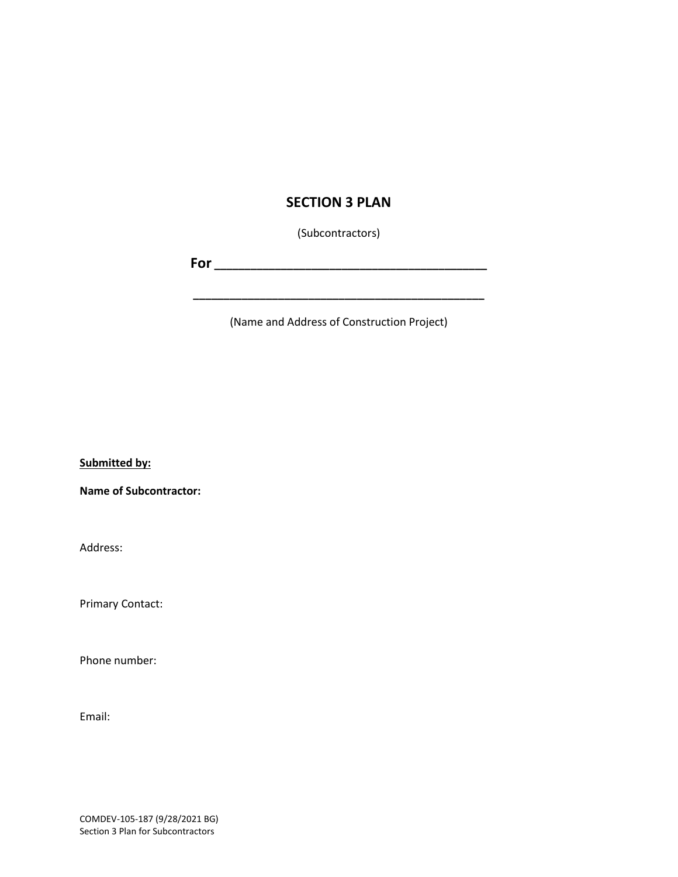### **SECTION 3 PLAN**

(Subcontractors)

**For \_\_\_\_\_\_\_\_\_\_\_\_\_\_\_\_\_\_\_\_\_\_\_\_\_\_\_\_\_\_\_\_\_\_\_\_\_\_\_\_\_\_\_\_\_**

**\_\_\_\_\_\_\_\_\_\_\_\_\_\_\_\_\_\_\_\_\_\_\_\_\_\_\_\_\_\_\_\_\_\_\_\_\_\_\_\_\_\_\_\_\_\_\_\_**

(Name and Address of Construction Project)

**Submitted by:** 

**Name of Subcontractor:** 

Address:

Primary Contact:

Phone number:

Email:

COMDEV-105-187 (9/28/2021 BG) Section 3 Plan for Subcontractors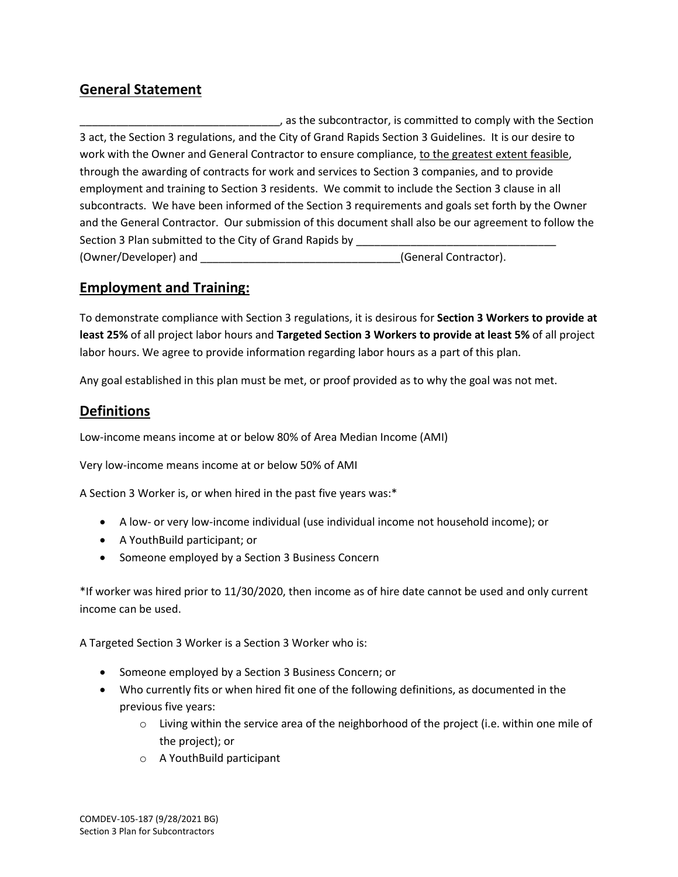## **General Statement**

\_\_\_\_\_\_\_\_\_\_\_\_\_\_\_\_\_\_\_\_\_\_\_\_\_\_\_\_\_\_\_\_\_, as the subcontractor, is committed to comply with the Section 3 act, the Section 3 regulations, and the City of Grand Rapids Section 3 Guidelines. It is our desire to work with the Owner and General Contractor to ensure compliance, to the greatest extent feasible, through the awarding of contracts for work and services to Section 3 companies, and to provide employment and training to Section 3 residents. We commit to include the Section 3 clause in all subcontracts. We have been informed of the Section 3 requirements and goals set forth by the Owner and the General Contractor. Our submission of this document shall also be our agreement to follow the Section 3 Plan submitted to the City of Grand Rapids by \_\_\_\_\_\_\_\_\_\_\_\_\_\_\_\_\_\_\_\_\_\_\_\_ (Owner/Developer) and \_\_\_\_\_\_\_\_\_\_\_\_\_\_\_\_\_\_\_\_\_\_\_\_\_\_\_\_\_\_\_\_\_(General Contractor).

## **Employment and Training:**

To demonstrate compliance with Section 3 regulations, it is desirous for **Section 3 Workers to provide at least 25%** of all project labor hours and **Targeted Section 3 Workers to provide at least 5%** of all project labor hours. We agree to provide information regarding labor hours as a part of this plan.

Any goal established in this plan must be met, or proof provided as to why the goal was not met.

## **Definitions**

Low-income means income at or below 80% of Area Median Income (AMI)

Very low-income means income at or below 50% of AMI

A Section 3 Worker is, or when hired in the past five years was:\*

- A low- or very low-income individual (use individual income not household income); or
- A YouthBuild participant; or
- Someone employed by a Section 3 Business Concern

\*If worker was hired prior to 11/30/2020, then income as of hire date cannot be used and only current income can be used.

A Targeted Section 3 Worker is a Section 3 Worker who is:

- Someone employed by a Section 3 Business Concern; or
- Who currently fits or when hired fit one of the following definitions, as documented in the previous five years:
	- $\circ$  Living within the service area of the neighborhood of the project (i.e. within one mile of the project); or
	- o A YouthBuild participant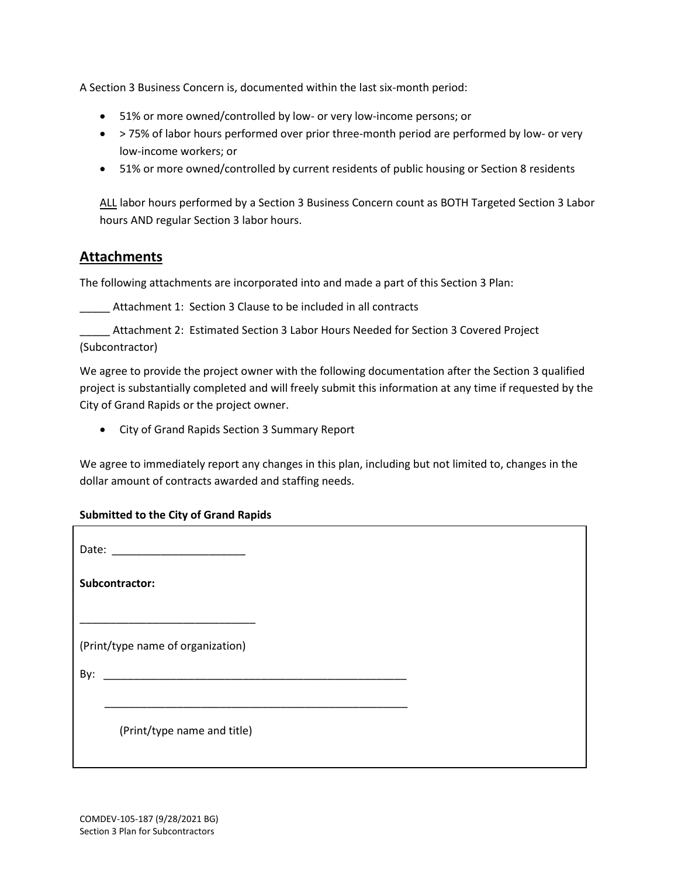A Section 3 Business Concern is, documented within the last six-month period:

- 51% or more owned/controlled by low- or very low-income persons; or
- > 75% of labor hours performed over prior three-month period are performed by low- or very low-income workers; or
- 51% or more owned/controlled by current residents of public housing or Section 8 residents

ALL labor hours performed by a Section 3 Business Concern count as BOTH Targeted Section 3 Labor hours AND regular Section 3 labor hours.

#### **Attachments**

The following attachments are incorporated into and made a part of this Section 3 Plan:

Attachment 1: Section 3 Clause to be included in all contracts

Attachment 2: Estimated Section 3 Labor Hours Needed for Section 3 Covered Project (Subcontractor)

We agree to provide the project owner with the following documentation after the Section 3 qualified project is substantially completed and will freely submit this information at any time if requested by the City of Grand Rapids or the project owner.

• City of Grand Rapids Section 3 Summary Report

We agree to immediately report any changes in this plan, including but not limited to, changes in the dollar amount of contracts awarded and staffing needs.

#### **Submitted to the City of Grand Rapids**

| Subcontractor:                    |  |  |
|-----------------------------------|--|--|
| (Print/type name of organization) |  |  |
|                                   |  |  |
| (Print/type name and title)       |  |  |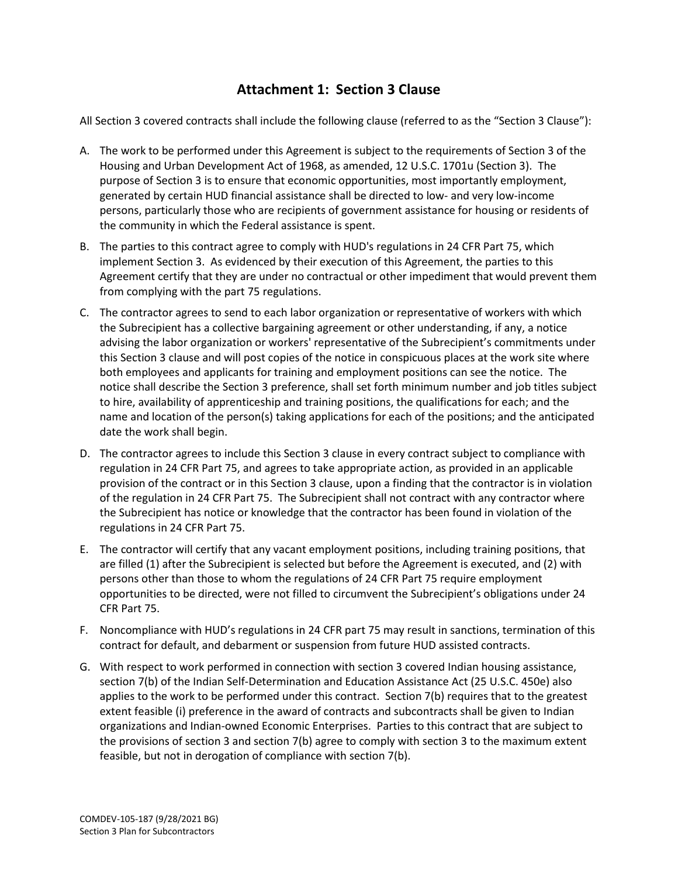## **Attachment 1: Section 3 Clause**

All Section 3 covered contracts shall include the following clause (referred to as the "Section 3 Clause"):

- A. The work to be performed under this Agreement is subject to the requirements of Section 3 of the Housing and Urban Development Act of 1968, as amended, 12 U.S.C. 1701u (Section 3). The purpose of Section 3 is to ensure that economic opportunities, most importantly employment, generated by certain HUD financial assistance shall be directed to low- and very low-income persons, particularly those who are recipients of government assistance for housing or residents of the community in which the Federal assistance is spent.
- B. The parties to this contract agree to comply with HUD's regulations in 24 CFR Part 75, which implement Section 3. As evidenced by their execution of this Agreement, the parties to this Agreement certify that they are under no contractual or other impediment that would prevent them from complying with the part 75 regulations.
- C. The contractor agrees to send to each labor organization or representative of workers with which the Subrecipient has a collective bargaining agreement or other understanding, if any, a notice advising the labor organization or workers' representative of the Subrecipient's commitments under this Section 3 clause and will post copies of the notice in conspicuous places at the work site where both employees and applicants for training and employment positions can see the notice. The notice shall describe the Section 3 preference, shall set forth minimum number and job titles subject to hire, availability of apprenticeship and training positions, the qualifications for each; and the name and location of the person(s) taking applications for each of the positions; and the anticipated date the work shall begin.
- D. The contractor agrees to include this Section 3 clause in every contract subject to compliance with regulation in 24 CFR Part 75, and agrees to take appropriate action, as provided in an applicable provision of the contract or in this Section 3 clause, upon a finding that the contractor is in violation of the regulation in 24 CFR Part 75. The Subrecipient shall not contract with any contractor where the Subrecipient has notice or knowledge that the contractor has been found in violation of the regulations in 24 CFR Part 75.
- E. The contractor will certify that any vacant employment positions, including training positions, that are filled (1) after the Subrecipient is selected but before the Agreement is executed, and (2) with persons other than those to whom the regulations of 24 CFR Part 75 require employment opportunities to be directed, were not filled to circumvent the Subrecipient's obligations under 24 CFR Part 75.
- F. Noncompliance with HUD's regulations in 24 CFR part 75 may result in sanctions, termination of this contract for default, and debarment or suspension from future HUD assisted contracts.
- G. With respect to work performed in connection with section 3 covered Indian housing assistance, section 7(b) of the Indian Self-Determination and Education Assistance Act (25 U.S.C. 450e) also applies to the work to be performed under this contract. Section 7(b) requires that to the greatest extent feasible (i) preference in the award of contracts and subcontracts shall be given to Indian organizations and Indian-owned Economic Enterprises. Parties to this contract that are subject to the provisions of section 3 and section 7(b) agree to comply with section 3 to the maximum extent feasible, but not in derogation of compliance with section 7(b).